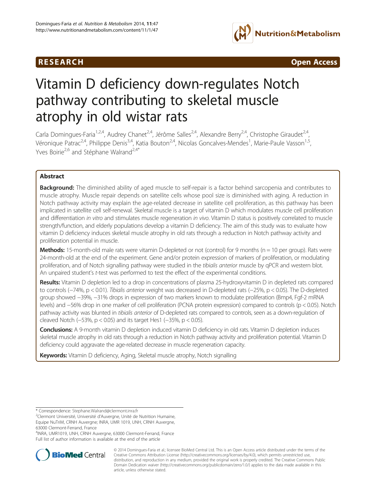## R E S EAR CH Open Access



# Vitamin D deficiency down-regulates Notch pathway contributing to skeletal muscle atrophy in old wistar rats

Carla Domingues-Faria<sup>1,2,4</sup>, Audrey Chanet<sup>2,4</sup>, Jérôme Salles<sup>2,4</sup>, Alexandre Berry<sup>2,4</sup>, Christophe Giraudet<sup>2,4</sup>, Véronique Patrac<sup>2,4</sup>, Philippe Denis<sup>3,4</sup>, Katia Bouton<sup>2,4</sup>, Nicolas Goncalves-Mendes<sup>1</sup>, Marie-Paule Vasson<sup>1,5</sup>, Yves Boirie<sup>2,6</sup> and Stéphane Walrand<sup>2,4\*</sup>

## Abstract

Background: The diminished ability of aged muscle to self-repair is a factor behind sarcopenia and contributes to muscle atrophy. Muscle repair depends on satellite cells whose pool size is diminished with aging. A reduction in Notch pathway activity may explain the age-related decrease in satellite cell proliferation, as this pathway has been implicated in satellite cell self-renewal. Skeletal muscle is a target of vitamin D which modulates muscle cell proliferation and differentiation in vitro and stimulates muscle regeneration in vivo. Vitamin D status is positively correlated to muscle strength/function, and elderly populations develop a vitamin D deficiency. The aim of this study was to evaluate how vitamin D deficiency induces skeletal muscle atrophy in old rats through a reduction in Notch pathway activity and proliferation potential in muscle.

**Methods:** 15-month-old male rats were vitamin D-depleted or not (control) for 9 months ( $n = 10$  per group). Rats were 24-month-old at the end of the experiment. Gene and/or protein expression of markers of proliferation, or modulating proliferation, and of Notch signalling pathway were studied in the tibialis anterior muscle by qPCR and western blot. An unpaired student's t-test was performed to test the effect of the experimental conditions.

Results: Vitamin D depletion led to a drop in concentrations of plasma 25-hydroxyvitamin D in depleted rats compared to controls (−74%, p < 0.01). Tibialis anterior weight was decreased in D-depleted rats (−25%, p < 0.05). The D-depleted group showed −39%, −31% drops in expression of two markers known to modulate proliferation (Bmp4, Fgf-2 mRNA levels) and −56% drop in one marker of cell proliferation (PCNA protein expression) compared to controls (p < 0.05). Notch pathway activity was blunted in tibialis anterior of D-depleted rats compared to controls, seen as a down-regulation of cleaved Notch (−53%, p < 0.05) and its target Hes1 (−35%, p < 0.05).

Conclusions: A 9-month vitamin D depletion induced vitamin D deficiency in old rats. Vitamin D depletion induces skeletal muscle atrophy in old rats through a reduction in Notch pathway activity and proliferation potential. Vitamin D deficiency could aggravate the age-related decrease in muscle regeneration capacity.

Keywords: Vitamin D deficiency, Aging, Skeletal muscle atrophy, Notch signalling

4 INRA, UMR1019, UNH, CRNH Auvergne, 63000 Clermont-Ferrand, France Full list of author information is available at the end of the article



<sup>© 2014</sup> Domingues-Faria et al.; licensee BioMed Central Ltd. This is an Open Access article distributed under the terms of the Creative Commons Attribution License (<http://creativecommons.org/licenses/by/4.0>), which permits unrestricted use, distribution, and reproduction in any medium, provided the original work is properly credited. The Creative Commons Public Domain Dedication waiver [\(http://creativecommons.org/publicdomain/zero/1.0/\)](http://creativecommons.org/publicdomain/zero/1.0/) applies to the data made available in this article, unless otherwise stated.

<sup>\*</sup> Correspondence: [Stephane.Walrand@clermont.inra.fr](mailto:Stephane.Walrand@clermont.inra.fr) <sup>2</sup>

<sup>&</sup>lt;sup>2</sup>Clermont Université, Université d'Auvergne, Unité de Nutrition Humaine, Equipe NuTriM, CRNH Auvergne; INRA, UMR 1019, UNH, CRNH Auvergne, 63000 Clermont-Ferrand, France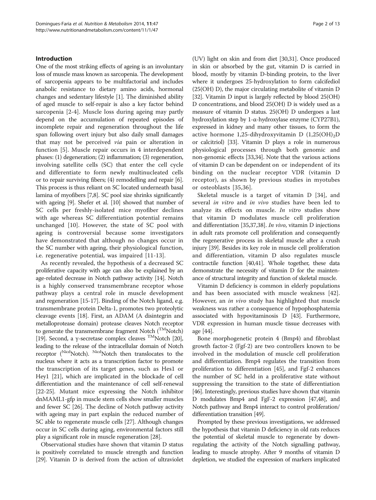#### Introduction

One of the most striking effects of ageing is an involuntary loss of muscle mass known as sarcopenia. The development of sarcopenia appears to be multifactorial and includes anabolic resistance to dietary amino acids, hormonal changes and sedentary lifestyle [[1\]](#page-10-0). The diminished ability of aged muscle to self-repair is also a key factor behind sarcopenia [[2](#page-10-0)-[4\]](#page-10-0). Muscle loss during ageing may partly depend on the accumulation of repeated episodes of incomplete repair and regeneration throughout the life span following overt injury but also daily small damages that may not be perceived via pain or alteration in function [[5\]](#page-10-0). Muscle repair occurs in 4 interdependent phases: (1) degeneration; (2) inflammation; (3) regeneration, involving satellite cells (SC) that enter the cell cycle and differentiate to form newly multinucleated cells or to repair surviving fibers; (4) remodelling and repair [[6](#page-10-0)]. This process is thus reliant on SC located underneath basal lamina of myofibers [\[7,8\]](#page-10-0). SC pool size shrinks significantly with ageing [[9\]](#page-10-0). Shefer et al. [[10](#page-10-0)] showed that number of SC cells per freshly-isolated mice myofiber declines with age whereas SC differentiation potential remains unchanged [[10\]](#page-10-0). However, the state of SC pool with ageing is controversial because some investigators have demonstrated that although no changes occur in the SC number with ageing, their physiological function, i.e. regenerative potential, was impaired [\[11](#page-10-0)-[13\]](#page-10-0).

As recently revealed, the hypothesis of a decreased SC proliferative capacity with age can also be explained by an age-related decrease in Notch pathway activity [\[14](#page-10-0)]. Notch is a highly conserved transmembrane receptor whose pathway plays a central role in muscle development and regeneration [\[15](#page-10-0)[-17](#page-11-0)]. Binding of the Notch ligand, e.g. transmembrane protein Delta-1, promotes two proteolytic cleavage events [[18](#page-11-0)]. First, an ADAM (A disintegrin and metalloprotease domain) protease cleaves Notch receptor to generate the transmembrane fragment Notch  $(^{\rm TM} \rm{Notch})$ [[19](#page-11-0)]. Second, a γ-secretase complex cleaves <sup>TM</sup>Notch [\[20](#page-11-0)], leading to the release of the intracellular domain of Notch receptor (Nicd<sub>Notch</sub>). Nicd<sub>Notch</sub> then translocates to the nucleus where it acts as a transcription factor to promote the transcription of its target genes, such as Hes1 or Hey1 [\[21\]](#page-11-0), which are implicated in the blockade of cell differentiation and the maintenance of cell self-renewal [[22](#page-11-0)-[25\]](#page-11-0). Mutant mice expressing the Notch inhibitor dnMAML1-gfp in muscle stem cells show smaller muscles and fewer SC [[26](#page-11-0)]. The decline of Notch pathway activity with ageing may in part explain the reduced number of SC able to regenerate muscle cells [\[27\]](#page-11-0). Although changes occur in SC cells during aging, environmental factors still play a significant role in muscle regeneration [\[28\]](#page-11-0).

Observational studies have shown that vitamin D status is positively correlated to muscle strength and function [[29](#page-11-0)]. Vitamin D is derived from the action of ultraviolet (UV) light on skin and from diet [[30](#page-11-0),[31](#page-11-0)]. Once produced in skin or absorbed by the gut, vitamin D is carried in blood, mostly by vitamin D-binding protein, to the liver where it undergoes 25-hydroxylation to form calcifediol (25(OH) D), the major circulating metabolite of vitamin D [[32](#page-11-0)]. Vitamin D input is largely reflected by blood 25(OH) D concentrations, and blood 25(OH) D is widely used as a measure of vitamin D status. 25(OH) D undergoes a last hydroxylation step by 1-α-hydroxylase enzyme (CYP27B1), expressed in kidney and many other tissues, to form the active hormone 1,25-dihydroxyvitamin D  $(1,25(OH)_{2}D)$ or calcitriol) [\[33](#page-11-0)]. Vitamin D plays a role in numerous physiological processes through both genomic and non-genomic effects [\[33,34\]](#page-11-0). Note that the various actions of vitamin D can be dependent on or independent of its binding on the nuclear receptor VDR (vitamin D receptor), as shown by previous studies in myotubes or osteoblasts [[35,36\]](#page-11-0).

Skeletal muscle is a target of vitamin D [\[34\]](#page-11-0), and several in vitro and in vivo studies have been led to analyze its effects on muscle. In vitro studies show that vitamin D modulates muscle cell proliferation and differentiation [[35,37,38\]](#page-11-0). In vivo, vitamin D injections in adult rats promote cell proliferation and consequently the regenerative process in skeletal muscle after a crush injury [\[39\]](#page-11-0). Besides its key role in muscle cell proliferation and differentiation, vitamin D also regulates muscle contractile function [\[40,41\]](#page-11-0). Whole together, these data demonstrate the necessity of vitamin D for the maintenance of structural integrity and function of skeletal muscle.

Vitamin D deficiency is common in elderly populations and has been associated with muscle weakness [\[42](#page-11-0)]. However, an in vivo study has highlighted that muscle weakness was rather a consequence of hypophosphatemia associated with hypovitaminosis D [\[43\]](#page-11-0). Furthermore, VDR expression in human muscle tissue decreases with age [[44](#page-11-0)].

Bone morphogenetic protein 4 (Bmp4) and fibroblast growth factor-2 (Fgf-2) are two controllers known to be involved in the modulation of muscle cell proliferation and differentiation. Bmp4 regulates the transition from proliferation to differentiation [\[45](#page-11-0)], and Fgf-2 enhances the number of SC held in a proliferative state without suppressing the transition to the state of differentiation [[46](#page-11-0)]. Interestingly, previous studies have shown that vitamin D modulates Bmp4 and FgF-2 expression [\[47,48](#page-11-0)], and Notch pathway and Bmp4 interact to control proliferation/ differentiation transition [\[49\]](#page-11-0).

Prompted by these previous investigations, we addressed the hypothesis that vitamin D deficiency in old rats reduces the potential of skeletal muscle to regenerate by downregulating the activity of the Notch signalling pathway, leading to muscle atrophy. After 9 months of vitamin D depletion, we studied the expression of markers implicated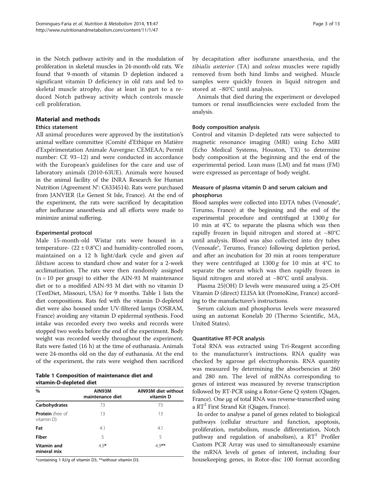in the Notch pathway activity and in the modulation of proliferation in skeletal muscles in 24-month-old rats. We found that 9-month of vitamin D depletion induced a significant vitamin D deficiency in old rats and led to skeletal muscle atrophy, due at least in part to a reduced Notch pathway activity which controls muscle cell proliferation.

#### Material and methods

#### Ethics statement

All animal procedures were approved by the institution's animal welfare committee (Comité d'Ethique en Matière d'Expérimentation Animale Auvergne: CEMEAA; Permit number: CE 93–12) and were conducted in accordance with the European's guidelines for the care and use of laboratory animals (2010-63UE). Animals were housed in the animal facility of the INRA Research for Human Nutrition (Agreement N°: C6334514). Rats were purchased from JANVIER (Le Genest St Isle, France). At the end of the experiment, the rats were sacrificed by decapitation after isoflurane anaesthesia and all efforts were made to minimize animal suffering.

## Experimental protocol

Male 15-month-old Wistar rats were housed in a temperature-  $(22 \pm 0.8^{\circ}\text{C})$  and humidity-controlled room, maintained on a 12 h light/dark cycle and given ad libitum access to standard chow and water for a 2-week acclimatization. The rats were then randomly assigned  $(n = 10$  per group) to either the AIN-93 M maintenance diet or to a modified AIN-93 M diet with no vitamin D (TestDiet, Missouri, USA) for 9 months. Table 1 lists the diet compositions. Rats fed with the vitamin D-depleted diet were also housed under UV-filtered lamps (OSRAM, France) avoiding any vitamin D epidermal synthesis. Food intake was recorded every two weeks and records were stopped two weeks before the end of the experiment. Body weight was recorded weekly throughout the experiment. Rats were fasted (16 h) at the time of euthanasia. Animals were 24-months old on the day of euthanasia. At the end of the experiment, the rats were weighed then sacrificed

|                         | Table 1 Composition of maintenance diet and |  |  |
|-------------------------|---------------------------------------------|--|--|
| vitamin-D-depleted diet |                                             |  |  |

| $\%$                                  | AIN93M<br>maintenance diet | AIN93M diet without<br>vitamin D |
|---------------------------------------|----------------------------|----------------------------------|
| Carbohydrates                         | 73                         | 73                               |
| <b>Protein</b> (free of<br>vitamin D) | 13                         | 13                               |
| Fat                                   | 4.1                        | 4.1                              |
| Fiber                                 | 5                          | 5                                |
| Vitamin and<br>mineral mix            | $4.9*$                     | $4.9**$                          |

\*containing 1 IU/g of vitamin D3, \*\*without vitamin D3.

by decapitation after isoflurane anaesthesia, and the tibialis anterior (TA) and soleus muscles were rapidly removed from both hind limbs and weighed. Muscle samples were quickly frozen in liquid nitrogen and stored at −80°C until analysis.

Animals that died during the experiment or developed tumors or renal insufficiencies were excluded from the analysis.

## Body composition analysis

Control and vitamin D-depleted rats were subjected to magnetic resonance imaging (MRI) using Echo MRI (Echo Medical Systems, Houston, TX) to determine body composition at the beginning and the end of the experimental period. Lean mass (LM) and fat mass (FM) were expressed as percentage of body weight.

## Measure of plasma vitamin D and serum calcium and phosphorus

Blood samples were collected into EDTA tubes (Venosafe®, Terumo, France) at the beginning and the end of the experimental procedure and centrifuged at  $1300 g$  for 10 min at 4°C to separate the plasma which was then rapidly frozen in liquid nitrogen and stored at −80°C until analysis. Blood was also collected into dry tubes (Venosafe®, Terumo, France) following depletion period, and after an incubation for 20 min at room temperature they were centrifuged at  $1300 g$  for 10 min at 4°C to separate the serum which was then rapidly frozen in liquid nitrogen and stored at −80°C until analysis.

Plasma 25(OH) D levels were measured using a 25-OH Vitamin D (direct) ELISA kit (PromoKine, France) according to the manufacturer's instructions.

Serum calcium and phosphorus levels were measured using an automat Konelab 20 (Thermo Scientific, MA, United States).

## Quantitative RT-PCR analysis

Total RNA was extracted using Tri-Reagent according to the manufacturer's instructions. RNA quality was checked by agarose gel electrophoresis. RNA quantity was measured by determining the absorbencies at 260 and 280 nm. The level of mRNAs corresponding to genes of interest was measured by reverse transcription followed by RT-PCR using a Rotor-Gene Q system (Qiagen, France). One μg of total RNA was reverse-transcribed using a  $RT^2$  First Strand Kit (Qiagen, France).

In order to analyse a panel of genes related to biological pathways (cellular structure and function, apoptosis, proliferation, metabolism, muscle differentiation, Notch pathway and regulation of anabolism), a  $RT^2$  Profiler Custom PCR Array was used to simultaneously examine the mRNA levels of genes of interest, including four housekeeping genes, in Rotor-disc 100 format according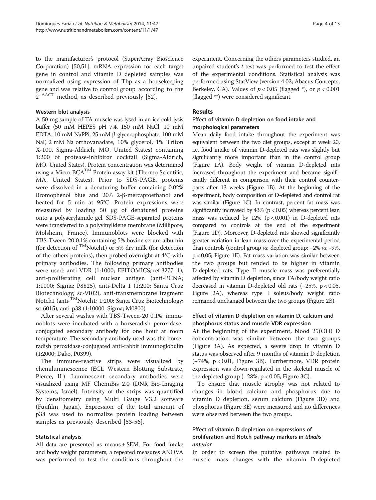to the manufacturer's protocol (SuperArray Bioscience Corporation) [[50,51](#page-11-0)]. mRNA expression for each target gene in control and vitamin D depleted samples was normalized using expression of Tbp as a housekeeping gene and was relative to control group according to the  $2^{-\Delta\Delta CT}$  method, as described previously [[52\]](#page-11-0).

#### Western blot analysis

A 50-mg sample of TA muscle was lysed in an ice-cold lysis buffer (50 mM HEPES pH 7.4, 150 mM NaCl, 10 mM EDTA, 10 mM NaPPi, 25 mM β-glycerophosphate, 100 mM NaF, 2 mM Na orthovanadate, 10% glycerol, 1% Triton X-100, Sigma-Aldrich, MO, United States) containing 1:200 of protease-inhibitor cocktail (Sigma-Aldrich, MO, United States). Protein concentration was determined using a Micro  $BCA^{TM}$  Protein assay kit (Thermo Scientific, MA, United States). Prior to SDS-PAGE, proteins were dissolved in a denaturing buffer containing 0.02% Bromophenol blue and 20% 2-β-mercaptoethanol and heated for 5 min at 95°C. Protein expressions were measured by loading 50 μg of denatured proteins onto a polyacrylamide gel. SDS-PAGE-separated proteins were transferred to a polyvinylidene membrane (Millipore, Molsheim, France). Immunoblots were blocked with TBS-Tween-20 0.1% containing 5% bovine serum albumin (for detection of <sup>TM</sup>Notch1) or 5% dry milk (for detection of the others proteins), then probed overnight at 4°C with primary antibodies. The following primary antibodies were used: anti-VDR (1:1000; EPITOMICS; ref 3277–1), anti-proliferating cell nuclear antigen (anti-PCNA; 1:1000; Sigma; P8825), anti-Delta 1 (1:200; Santa Cruz Biotechnology; sc-9102), anti-transmembrane fragment Notch1 (anti-<sup>TM</sup>Notch1; 1:200; Santa Cruz Biotechnology; sc-6015), anti-p38 (1:10000; Sigma; M0800).

After several washes with TBS-Tween-20 0.1%, immunoblots were incubated with a horseradish peroxidaseconjugated secondary antibody for one hour at room temperature. The secondary antibody used was the horseradish peroxidase-conjugated anti-rabbit immunoglobulin (1:2000; Dako, P0399).

The immune-reactive strips were visualized by chemiluminescence (ECL Western Blotting Substrate, Pierce, IL). Luminescent secondary antibodies were visualized using MF ChemiBis 2.0 (DNR Bio-Imaging Systems, Israel). Intensity of the strips was quantified by densitometry using Multi Gauge V3.2 software (Fujifilm, Japan). Expression of the total amount of p38 was used to normalize protein loading between samples as previously described [[53](#page-11-0)-[56\]](#page-11-0).

## Statistical analysis

All data are presented as means ± SEM. For food intake and body weight parameters, a repeated measures ANOVA was performed to test the conditions throughout the experiment. Concerning the others parameters studied, an unpaired student's t-test was performed to test the effect of the experimental conditions. Statistical analysis was performed using StatView (version 4.02; Abacus Concepts, Berkeley, CA). Values of  $p < 0.05$  (flagged \*), or  $p < 0.001$ (flagged \*\*) were considered significant.

#### Results

#### Effect of vitamin D depletion on food intake and morphological parameters

Mean daily food intake throughout the experiment was equivalent between the two diet groups, except at week 20, i.e. food intake of vitamin D-depleted rats was slightly but significantly more important than in the control group (Figure [1](#page-4-0)A). Body weight of vitamin D-depleted rats increased throughout the experiment and became significantly different in comparison with their control counterparts after 13 weeks (Figure [1B](#page-4-0)). At the beginning of the experiment, body composition of D-depleted and control rat was similar (Figure [1C](#page-4-0)). In contrast, percent fat mass was significantly increased by  $43\%$  ( $p < 0.05$ ) whereas percent lean mass was reduced by  $12\%$  ( $p < 0.001$ ) in D-depleted rats compared to controls at the end of the experiment (Figure [1D](#page-4-0)). Moreover, D-depleted rats showed significantly greater variation in lean mass over the experimental period than controls (control group vs. depleted group: −2% vs. -9%, p < 0.05; Figure [1E](#page-4-0)). Fat mass variation was similar between the two groups but tended to be higher in vitamin D-depleted rats. Type II muscle mass was preferentially affected by vitamin D depletion, since TA/body weight ratio decreased in vitamin D-depleted old rats (−25%, p < 0.05, Figure [2](#page-5-0)A), whereas type I soleus/body weight ratio remained unchanged between the two groups (Figure [2](#page-5-0)B).

## Effect of vitamin D depletion on vitamin D, calcium and phosphorus status and muscle VDR expression

At the beginning of the experiment, blood 25(OH) D concentration was similar between the two groups (Figure [3](#page-6-0)A). As expected, a severe drop in vitamin D status was observed after 9 months of vitamin D depletion (−74%, p < 0.01, Figure [3B](#page-6-0)). Furthermore, VDR protein expression was down-regulated in the skeletal muscle of the depleted group  $(-28\%, p < 0.05,$  Figure [3C](#page-6-0)).

To ensure that muscle atrophy was not related to changes in blood calcium and phosphorus due to vitamin D depletion, serum calcium (Figure [3D](#page-6-0)) and phosphorus (Figure [3](#page-6-0)E) were measured and no differences were observed between the two groups.

## Effect of vitamin D depletion on expressions of proliferation and Notch pathway markers in tibialis anterior

In order to screen the putative pathways related to muscle mass changes with the vitamin D-depleted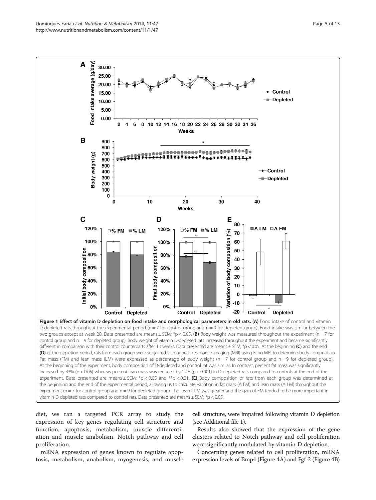<span id="page-4-0"></span>

At the beginning of the experiment, body composition of D-depleted and control rat was similar. In contrast, percent fat mass was significantly increased by 43% (p < 0.05) whereas percent lean mass was reduced by 12% (p < 0.001) in D-depleted rats compared to controls at the end of the experiment. Data presented are means  $\pm$  SEM; \*p < 0.05 and \*\*p < 0.01. (E) Body composition of rats from each group was determined at the beginning and the end of the experimental period, allowing us to calculate variation in fat mass (Δ FM) and lean mass (Δ LM) throughout the experiment (n = 7 for control group and n = 9 for depleted group). The loss of LM was greater and the gain of FM tended to be more important in vitamin-D depleted rats compared to control rats. Data presented are means  $\pm$  SEM;  $*_p$  < 0.05.

diet, we ran a targeted PCR array to study the expression of key genes regulating cell structure and function, apoptosis, metabolism, muscle differentiation and muscle anabolism, Notch pathway and cell proliferation.

mRNA expression of genes known to regulate apoptosis, metabolism, anabolism, myogenesis, and muscle cell structure, were impaired following vitamin D depletion (see Additional file [1](#page-10-0)).

Results also showed that the expression of the gene clusters related to Notch pathway and cell proliferation were significantly modulated by vitamin D depletion.

Concerning genes related to cell proliferation, mRNA expression levels of Bmp4 (Figure [4](#page-7-0)A) and Fgf-2 (Figure [4B](#page-7-0))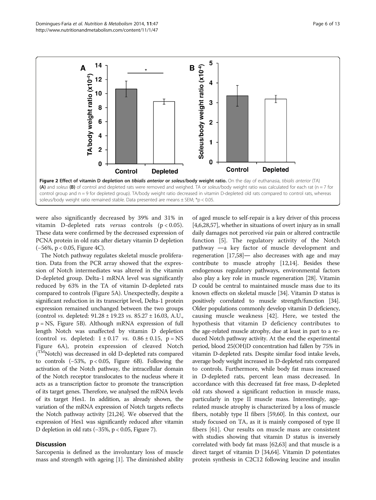<span id="page-5-0"></span>

were also significantly decreased by 39% and 31% in vitamin D-depleted rats versus controls (p < 0.05). These data were confirmed by the decreased expression of PCNA protein in old rats after dietary vitamin D depletion (−56%, p < 0.05, Figure [4C](#page-7-0)).

The Notch pathway regulates skeletal muscle proliferation. Data from the PCR array showed that the expression of Notch intermediates was altered in the vitamin D-depleted group. Delta-1 mRNA level was significantly reduced by 63% in the TA of vitamin D-depleted rats compared to controls (Figure [5](#page-8-0)A). Unexpectedly, despite a significant reduction in its transcript level, Delta-1 protein expression remained unchanged between the two groups (control vs. depleted: 91.28 ± 19.23 vs. 85.27 ± 16.03, A.U., p = NS, Figure [5B](#page-8-0)). Although mRNA expression of full length Notch was unaffected by vitamin D depletion (control *vs.* depleted:  $1 \pm 0.17$  *vs.*  $0.86 \pm 0.15$ ,  $p = NS$ Figure [6A](#page-8-0)), protein expression of cleaved Notch (<sup>TM</sup>Notch) was decreased in old D-depleted rats compared to controls (−53%, p < 0.05, Figure [6](#page-8-0)B). Following the activation of the Notch pathway, the intracellular domain of the Notch receptor translocates to the nucleus where it acts as a transcription factor to promote the transcription of its target genes. Therefore, we analysed the mRNA levels of its target Hes1. In addition, as already shown, the variation of the mRNA expression of Notch targets reflects the Notch pathway activity [\[21,24](#page-11-0)]. We observed that the expression of Hes1 was significantly reduced after vitamin D depletion in old rats (−35%, p < 0.05, Figure [7](#page-9-0)).

## **Discussion**

Sarcopenia is defined as the involuntary loss of muscle mass and strength with ageing [[1](#page-10-0)]. The diminished ability

of aged muscle to self-repair is a key driver of this process [[4,6,](#page-10-0)[28,57\]](#page-11-0), whether in situations of overt injury as in small daily damages not perceived via pain or altered contractile function [[5](#page-10-0)]. The regulatory activity of the Notch pathway ―a key factor of muscle development and regeneration [\[17,58\]](#page-11-0)― also decreases with age and may contribute to muscle atrophy [[12,14](#page-10-0)]. Besides these endogenous regulatory pathways, environmental factors also play a key role in muscle regeneration [[28](#page-11-0)]. Vitamin D could be central to maintained muscle mass due to its known effects on skeletal muscle [\[34\]](#page-11-0). Vitamin D status is positively correlated to muscle strength/function [\[34](#page-11-0)]. Older populations commonly develop vitamin D deficiency, causing muscle weakness [[42\]](#page-11-0). Here, we tested the hypothesis that vitamin D deficiency contributes to the age-related muscle atrophy, due at least in part to a reduced Notch pathway activity. At the end the experimental period, blood 25(OH)D concentration had fallen by 75% in vitamin D-depleted rats. Despite similar food intake levels, average body weight increased in D-depleted rats compared to controls. Furthermore, while body fat mass increased in D-depleted rats, percent lean mass decreased. In accordance with this decreased fat free mass, D-depleted old rats showed a significant reduction in muscle mass, particularly in type II muscle mass. Interestingly, agerelated muscle atrophy is characterized by a loss of muscle fibers, notably type II fibers [[59,60](#page-11-0)]. In this context, our study focused on TA, as it is mainly composed of type II fibers [[61\]](#page-11-0). Our results on muscle mass are consistent with studies showing that vitamin D status is inversely correlated with body fat mass [\[62,](#page-11-0)[63](#page-12-0)] and that muscle is a direct target of vitamin D [[34](#page-11-0)[,64\]](#page-12-0). Vitamin D potentiates protein synthesis in C2C12 following leucine and insulin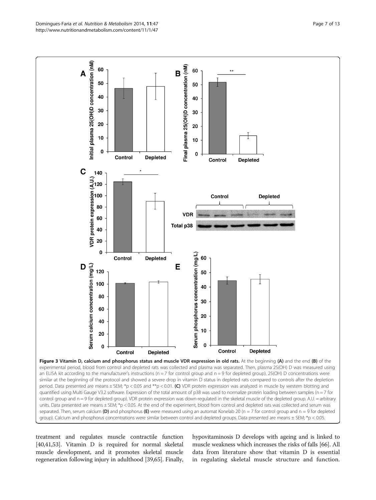<span id="page-6-0"></span>

treatment and regulates muscle contractile function [[40,41,53\]](#page-11-0). Vitamin D is required for normal skeletal muscle development, and it promotes skeletal muscle regeneration following injury in adulthood [[39](#page-11-0)[,65](#page-12-0)]. Finally,

hypovitaminosis D develops with ageing and is linked to muscle weakness which increases the risks of falls [\[66\]](#page-12-0). All data from literature show that vitamin D is essential in regulating skeletal muscle structure and function.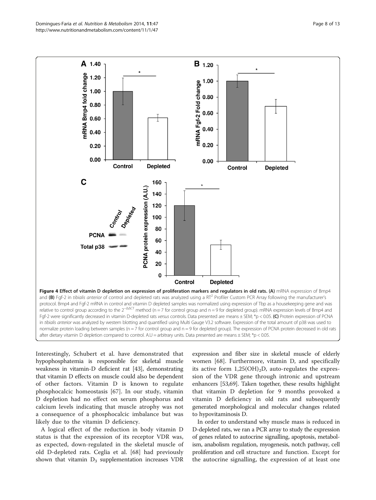<span id="page-7-0"></span>

Interestingly, Schubert et al. have demonstrated that hypophosphatemia is responsible for skeletal muscle weakness in vitamin-D deficient rat [\[43\]](#page-11-0), demonstrating that vitamin D effects on muscle could also be dependent of other factors. Vitamin D is known to regulate phosphocalcic homeostasis [\[67](#page-12-0)]. In our study, vitamin D depletion had no effect on serum phosphorus and calcium levels indicating that muscle atrophy was not a consequence of a phosphocalcic imbalance but was likely due to the vitamin D deficiency.

A logical effect of the reduction in body vitamin D status is that the expression of its receptor VDR was, as expected, down-regulated in the skeletal muscle of old D-depleted rats. Ceglia et al. [[68\]](#page-12-0) had previously shown that vitamin  $D_3$  supplementation increases VDR

expression and fiber size in skeletal muscle of elderly women [[68](#page-12-0)]. Furthermore, vitamin D, and specifically its active form  $1,25(OH)<sub>2</sub>D$ , auto-regulates the expression of the VDR gene through intronic and upstream enhancers [\[53,](#page-11-0)[69](#page-12-0)]. Taken together, these results highlight that vitamin D depletion for 9 months provoked a vitamin D deficiency in old rats and subsequently generated morphological and molecular changes related to hypovitaminosis D.

In order to understand why muscle mass is reduced in D-depleted rats, we ran a PCR array to study the expression of genes related to autocrine signalling, apoptosis, metabolism, anabolism regulation, myogenesis, notch pathway, cell proliferation and cell structure and function. Except for the autocrine signalling, the expression of at least one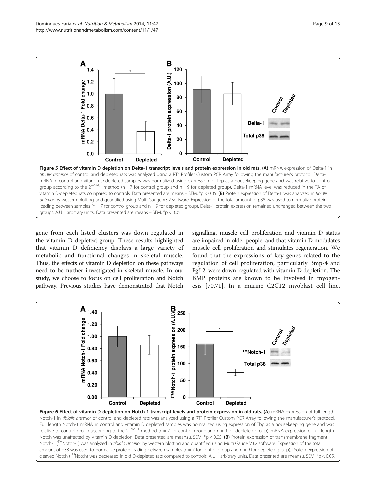<span id="page-8-0"></span>

gene from each listed clusters was down regulated in the vitamin D depleted group. These results highlighted that vitamin D deficiency displays a large variety of metabolic and functional changes in skeletal muscle. Thus, the effects of vitamin D depletion on these pathways need to be further investigated in skeletal muscle. In our study, we choose to focus on cell proliferation and Notch pathway. Previous studies have demonstrated that Notch

signalling, muscle cell proliferation and vitamin D status are impaired in older people, and that vitamin D modulates muscle cell proliferation and stimulates regeneration. We found that the expressions of key genes related to the regulation of cell proliferation, particularly Bmp-4 and Fgf-2, were down-regulated with vitamin D depletion. The BMP proteins are known to be involved in myogenesis [[70,71\]](#page-12-0). In a murine C2C12 myoblast cell line,

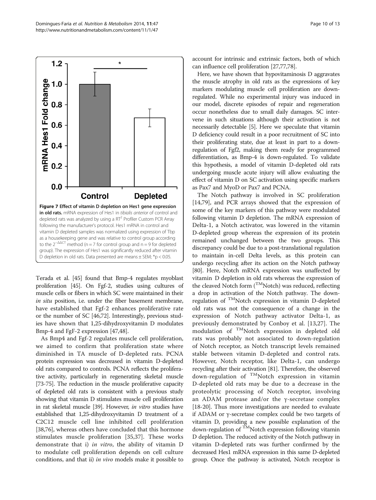<span id="page-9-0"></span>

Terada et al. [[45](#page-11-0)] found that Bmp-4 regulates myoblast proliferation [\[45](#page-11-0)]. On Fgf-2, studies using cultures of muscle cells or fibers in which SC were maintained in their in situ position, i.e. under the fiber basement membrane, have established that Fgf-2 enhances proliferative rate or the number of SC [\[46,](#page-11-0)[72](#page-12-0)]. Interestingly, previous studies have shown that 1,25-dihydroxyvitamin D modulates Bmp-4 and FgF-2 expression [\[47,48\]](#page-11-0).

As Bmp4 and Fgf-2 regulates muscle cell proliferation, we aimed to confirm that proliferation state where diminished in TA muscle of D-depleted rats. PCNA protein expression was decreased in vitamin D-depleted old rats compared to controls. PCNA reflects the proliferative activity, particularly in regenerating skeletal muscle [[73](#page-12-0)-[75\]](#page-12-0). The reduction in the muscle proliferative capacity of depleted old rats is consistent with a previous study showing that vitamin D stimulates muscle cell proliferation in rat skeletal muscle [[39](#page-11-0)]. However, in vitro studies have established that 1,25-dihydroxyvitamin D treatment of a C2C12 muscle cell line inhibited cell proliferation [[38](#page-11-0)[,76](#page-12-0)], whereas others have concluded that this hormone stimulates muscle proliferation [\[35,37](#page-11-0)]. These works demonstrate that i) in vitro, the ability of vitamin D to modulate cell proliferation depends on cell culture conditions, and that ii) in vivo models make it possible to

account for intrinsic and extrinsic factors, both of which can influence cell proliferation [\[27,](#page-11-0)[77,78](#page-12-0)].

Here, we have shown that hypovitaminosis D aggravates the muscle atrophy in old rats as the expressions of key markers modulating muscle cell proliferation are downregulated. While no experimental injury was induced in our model, discrete episodes of repair and regeneration occur nonetheless due to small daily damages. SC intervene in such situations although their activation is not necessarily detectable [\[5](#page-10-0)]. Here we speculate that vitamin D deficiency could result in a poor recruitment of SC into their proliferating state, due at least in part to a downregulation of Fgf2, making them ready for programmed differentiation, as Bmp-4 is down-regulated. To validate this hypothesis, a model of vitamin D-depleted old rats undergoing muscle acute injury will allow evaluating the effect of vitamin D on SC activation using specific markers as Pax7 and MyoD or Pax7 and PCNA.

The Notch pathway is involved in SC proliferation [[14,](#page-10-0)[79\]](#page-12-0), and PCR arrays showed that the expression of some of the key markers of this pathway were modulated following vitamin D depletion. The mRNA expression of Delta-1, a Notch activator, was lowered in the vitamin D-depleted group whereas the expression of its protein remained unchanged between the two groups. This discrepancy could be due to a post-translational regulation to maintain in-cell Delta levels, as this protein can undergo recycling after its action on the Notch pathway [[80](#page-12-0)]. Here, Notch mRNA expression was unaffected by vitamin D depletion in old rats whereas the expression of the cleaved Notch form  $($ <sup>TM</sup>Notch) was reduced, reflecting a drop in activation of the Notch pathway. The downregulation of <sup>TM</sup>Notch expression in vitamin D-depleted old rats was not the consequence of a change in the expression of Notch pathway activator Delta-1, as previously demonstrated by Conboy et al. [[13,](#page-10-0)[27\]](#page-11-0). The modulation of <sup>TM</sup>Notch expression in depleted old rats was probably not associated to down-regulation of Notch receptor, as Notch transcript levels remained stable between vitamin D-depleted and control rats. However, Notch receptor, like Delta-1, can undergo recycling after their activation [[81](#page-12-0)]. Therefore, the observed down-regulation of <sup>TM</sup>Notch expression in vitamin D-depleted old rats may be due to a decrease in the proteolytic processing of Notch receptor, involving an ADAM protease and/or the γ-secretase complex [[18](#page-11-0)-[20\]](#page-11-0). Thus more investigations are needed to evaluate if ADAM or γ-secretase complex could be two targets of vitamin D, providing a new possible explanation of the down-regulation of <sup>TM</sup>Notch expression following vitamin D depletion. The reduced activity of the Notch pathway in vitamin D-depleted rats was further confirmed by the decreased Hes1 mRNA expression in this same D-depleted group. Once the pathway is activated, Notch receptor is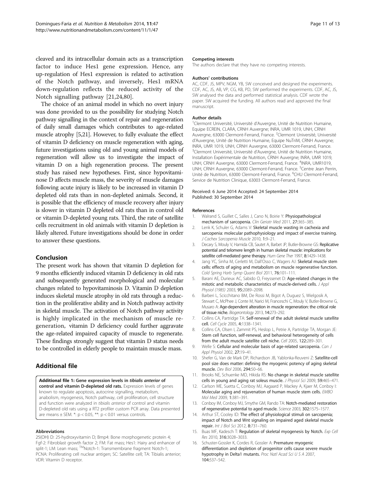<span id="page-10-0"></span>cleaved and its intracellular domain acts as a transcription factor to induce Hes1 gene expression. Hence, any up-regulation of Hes1 expression is related to activation of the Notch pathway, and inversely, Hes1 mRNA down-regulation reflects the reduced activity of the Notch signalling pathway [[21,24,](#page-11-0)[80](#page-12-0)].

The choice of an animal model in which no overt injury was done provided to us the possibility for studying Notch pathway signalling in the context of repair and regeneration of daily small damages which contributes to age-related muscle atrophy [5[,21\]](#page-11-0). However, to fully evaluate the effect of vitamin D deficiency on muscle regeneration with aging, future investigations using old and young animal models of regeneration will allow us to investigate the impact of vitamin D on a high regeneration process. The present study has raised new hypotheses. First, since hypovitaminose D affects muscle mass, the severity of muscle damages following acute injury is likely to be increased in vitamin D depleted old rats than in non-depleted animals. Second, it is possible that the efficiency of muscle recovery after injury is slower in vitamin D depleted old rats than in control old or vitamin D-depleted young rats. Third, the rate of satellite cells recruitment in old animals with vitamin D depletion is likely altered. Future investigations should be done in order to answer these questions.

## Conclusion

The present work has shown that vitamin D depletion for 9 months efficiently induced vitamin D deficiency in old rats and subsequently generated morphological and molecular changes related to hypovitaminosis D. Vitamin D depletion induces skeletal muscle atrophy in old rats through a reduction in the proliferative ability and in Notch pathway activity in skeletal muscle. The activation of Notch pathway activity is highly implicated in the mechanism of muscle regeneration, vitamin D deficiency could further aggravate the age-related impaired capacity of muscle to regenerate. These findings strongly suggest that vitamin D status needs to be controlled in elderly people to maintain muscle mass.

## Additional file

[Additional file 1:](http://www.biomedcentral.com/content/supplementary/1743-7075-11-47-S1.xlsx) Gene expression levels in tibialis anterior of control and vitamin D-depleted old rats. Expression levels of genes known to regulate apoptosis, autocrine signalling, metabolism, anabolism, myogenesis, Notch pathway, cell proliferation, cell structure and function were analyzed in tibialis anterior of control and vitamin D-depleted old rats using a RT2 profiler custom PCR array. Data presented are means  $\pm$  SEM. \*:  $p < 0.05$ , \*\*:  $p < 0.01$  versus controls.

#### Abbreviations

25(OH) D: 25-hydroxyvitamin D; Bmp4: Bone morphogenetic protein 4; Fgf-2: Fibroblast growth factor 2; FM: Fat mass; Hes1: Hairy and enhancer of split-1; LM: Lean mass; ™Notch-1: Transmembrane fragment Notch-1; PCNA: Proliferating cell nuclear antigen; SC: Satellite cell; TA: Tibialis anterior; VDR: Vitamin D receptor.

#### Competing interests

The authors declare that they have no competing interests.

#### Authors' contributions

AC, CDF, JS, MPV, NGM, YB, SW conceived and designed the experiments. CDF, AC, JS, AB, VP, CG, KB, PD, SW performed the experiments. CDF, AC, JS, SW analysed the data and performed statistical analysis. CDF wrote the paper. SW acquired the funding. All authors read and approved the final manuscript.

#### Author details

<sup>1</sup> Clermont Université, Université d'Auvergne, Unité de Nutrition Humaine, Equipe ECREIN, CLARA, CRNH Auvergne; INRA, UMR 1019, UNH, CRNH Auvergne, 63000 Clermont-Ferrand, France. <sup>2</sup>Clermont Université, Université d'Auvergne, Unité de Nutrition Humaine, Equipe NuTriM, CRNH Auvergne; INRA, UMR 1019, UNH, CRNH Auvergne, 63000 Clermont-Ferrand, France. <sup>3</sup>Clermont Université, Université d'Auvergne, Unité de Nutrition Humaine, Installation Expérimentale de Nutrition, CRNH Auvergne; INRA, UMR 1019, UNH, CRNH Auvergne, 63000 Clermont-Ferrand, France. <sup>4</sup>INRA, UMR1019 UNH, CRNH Auvergne, 63000 Clermont-Ferrand, France. <sup>5</sup>Centre Jean Perrin, Unité de Nutrition, 63000 Clermont-Ferrand, France. <sup>6</sup>CHU Clermont-Ferrand Service de Nutrition Clinique, 63003 Clermont-Ferrand, France.

#### Received: 6 June 2014 Accepted: 24 September 2014 Published: 30 September 2014

#### References

- 1. Walrand S, Guillet C, Salles J, Cano N, Boirie Y: Physiopathological mechanism of sarcopenia. Clin Geriatr Med 2011, 27:365–385.
- 2. Lenk K, Schuler G, Adams V: Skeletal muscle wasting in cachexia and sarcopenia: molecular pathophysiology and impact of exercise training. J Cachex Sarcopenia Muscle 2010, 1:9–21.
- 3. Decary S, Mouly V, Hamida CB, Sautet A, Barbet JP, Butler-Browne GS: Replicative potential and telomere length in human skeletal muscle: implications for satellite cell-mediated gene therapy. Hum Gene Ther 1997, 8:1429-1438.
- 4. Jang YC, Sinha M, Cerletti M, Dall'Osso C, Wagers AJ: Skeletal muscle stem cells: effects of aging and metabolism on muscle regenerative function. Cold Spring Harb Symp Quant Biol 2011, 76:101–111.
- 5. Barani AE, Durieux AC, Sabido O, Freyssenet D: Age-related changes in the mitotic and metabolic characteristics of muscle-derived cells. J Appl Physiol (1985) 2003, 95:2089–2098.
- 6. Barberi L, Scicchitano BM, De Rossi M, Bigot A, Duguez S, Wielgosik A, Stewart C, McPhee J, Conte M, Narici M, Franceschi C, Mouly V, Butler-Browne G, Musaro A: Age-dependent alteration in muscle regeneration: the critical role of tissue niche. Biogerontology 2013, 14:273–292.
- 7. Collins CA, Partridge TA: Self-renewal of the adult skeletal muscle satellite cell. Cell Cycle 2005, 4:1338–1341.
- Collins CA, Olsen I, Zammit PS, Heslop L, Petrie A, Partridge TA, Morgan JE: Stem cell function, self-renewal, and behavioral heterogeneity of cells from the adult muscle satellite cell niche. Cell 2005, 122:289–301.
- 9. Welle S: Cellular and molecular basis of age-related sarcopenia. Can J Appl Physiol 2002, 27:19–41.
- 10. Shefer G, Van de Mark DP, Richardson JB, Yablonka-Reuveni Z: Satellite-cell pool size does matter: defining the myogenic potency of aging skeletal muscle. Dev Biol 2006, 294:50–66.
- 11. Brooks NE, Schuenke MD, Hikida RS: No change in skeletal muscle satellite cells in young and aging rat soleus muscle. J Physiol Sci 2009, 59:465–471.
- 12. Carlson ME, Suetta C, Conboy MJ, Aagaard P, Mackey A, Kjaer M, Conboy I: Molecular aging and rejuvenation of human muscle stem cells. EMBO Mol Med 2009, 1:381–391.
- 13. Conboy IM, Conboy MJ, Smythe GM, Rando TA: Notch-mediated restoration of regenerative potential to aged muscle. Science 2003, 302:1575–1577.
- 14. Arthur ST, Cooley ID: The effect of physiological stimuli on sarcopenia; impact of Notch and Wnt signaling on impaired aged skeletal muscle repair. Int J Biol Sci 2012, 8:731–760.
- 15. Buas MF, Kadesch T: Regulation of skeletal myogenesis by Notch. Exp Cell Res 2010, 316:3028–3033.
- 16. Schuster-Gossler K, Cordes R, Gossler A: Premature myogenic differentiation and depletion of progenitor cells cause severe muscle hypotrophy in Delta1 mutants. Proc Natl Acad Sci U S A 2007, 104:537–542.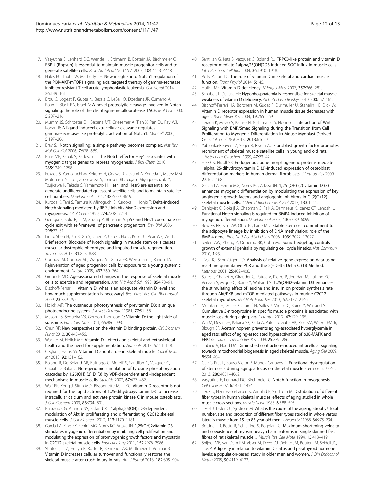- <span id="page-11-0"></span>17. Vasyutina E, Lenhard DC, Wende H, Erdmann B, Epstein JA, Birchmeier C: RBP-J (Rbpsuh) is essential to maintain muscle progenitor cells and to generate satellite cells. Proc Natl Acad Sci U S A 2007, 104:4443–4448.
- 18. Hales EC, Taub JW, Matherly LH: New insights into Notch1 regulation of the PI3K-AKT-mTOR1 signaling axis: targeted therapy of gamma-secretase inhibitor resistant T-cell acute lymphoblastic leukemia. Cell Signal 2014, 26:149–161.
- 19. Brou C, Logeat F, Gupta N, Bessia C, LeBail O, Doedens JR, Cumano A, Roux P, Black RA, Israel A: A novel proteolytic cleavage involved in Notch signaling: the role of the disintegrin-metalloprotease TACE. Mol Cell 2000, 5:207–216.
- 20. Mumm JS, Schroeter EH, Saxena MT, Griesemer A, Tian X, Pan DJ, Ray WJ, Kopan R: A ligand-induced extracellular cleavage regulates gamma-secretase-like proteolytic activation of Notch1. Mol Cell 2000, 5:197–206.
- 21. Bray SJ: Notch signalling: a simple pathway becomes complex. Nat Rev Mol Cell Biol 2006, 7:678–689.
- 22. Buas MF, Kabak S, Kadesch T: The Notch effector Hey1 associates with myogenic target genes to repress myogenesis. J Biol Chem 2010, 285:1249–1258.
- 23. Fukada S, Yamaguchi M, Kokubo H, Ogawa R, Uezumi A, Yoneda T, Matev MM, Motohashi N, Ito T, Zolkiewska A, Johnson RL, Saga Y, Miyagoe-Suzuki Y, Tsujikawa K, Takeda S, Yamamoto H: Hesr1 and Hesr3 are essential to generate undifferentiated quiescent satellite cells and to maintain satellite cell numbers. Development 2011, 138:4609–4619.
- 24. Kuroda K, Tani S, Tamura K, Minoguchi S, Kurooka H, Honjo T: Delta-induced Notch signaling mediated by RBP-J inhibits MyoD expression and myogenesis. J Biol Chem 1999, 274:7238–7244.
- 25. Georgia S, Soliz R, Li M, Zhang P, Bhushan A: p57 and Hes1 coordinate cell cycle exit with self-renewal of pancreatic progenitors. Dev Biol 2006, 298:22–31.
- 26. Lin S, Shen H, Jin B, Gu Y, Chen Z, Cao C, Hu C, Keller C, Pear WS, Wu L: Brief report: Blockade of Notch signaling in muscle stem cells causes muscular dystrophic phenotype and impaired muscle regeneration. Stem Cells 2013, 31:823-828.
- 27. Conboy IM, Conboy MJ, Wagers AJ, Girma ER, Weissman IL, Rando TA: Rejuvenation of aged progenitor cells by exposure to a young systemic environment. Nature 2005, 433:760–764.
- Grounds MD: Age-associated changes in the response of skeletal muscle cells to exercise and regeneration. Ann N Y Acad Sci 1998, 854:78-91.
- 29. Bischoff-Ferrari H: Vitamin D: what is an adequate vitamin D level and how much supplementation is necessary? Best Pract Res Clin Rheumatol 2009, 23:789–795.
- 30. Holick MF: The cutaneous photosynthesis of previtamin D3: a unique photoendocrine system. J Invest Dermatol 1981, 77:51–58.
- 31. Mason RS, Sequeira VB, Gordon-Thomson C: Vitamin D: the light side of sunshine. Eur J Clin Nutr 2011, 65:986-993.
- 32. Chun RF: New perspectives on the vitamin D binding protein. Cell Biochem Funct 2012, 30:445–456.
- 33. Wacker M, Holick MF: Vitamin D effects on skeletal and extraskeletal health and the need for supplementation. Nutrients 2013, 5:111-148.
- 34. Ceglia L, Harris SS: Vitamin D and its role in skeletal muscle. Calcif Tissue Int 2013, 92:151–162.
- 35. Boland R, De Boland AR, Buitrago C, Morelli S, Santillan G, Vazquez G, Capiati D, Baldi C: Non-genomic stimulation of tyrosine phosphorylation cascades by 1,25(OH) (2) D (3) by VDR-dependent and -independent mechanisms in muscle cells. Steroids 2002, 67:477–482.
- 36. Wali RK, Kong J, Sitrin MD, Bissonnette M, Li YC: Vitamin D receptor is not required for the rapid actions of 1,25-dihydroxyvitamin D3 to increase intracellular calcium and activate protein kinase C in mouse osteoblasts. J Cell Biochem 2003, 88:794–801.
- 37. Buitrago CG, Arango NS, Boland RL: 1alpha,25(OH)2D3-dependent modulation of Akt in proliferating and differentiating C2C12 skeletal muscle cells. J Cell Biochem 2012, 113:1170–1181.
- 38. Garcia LA, King KK, Ferrini MG, Norris KC, Artaza JN: 1,25(OH)2vitamin D3 stimulates myogenic differentiation by inhibiting cell proliferation and modulating the expression of promyogenic growth factors and myostatin in C2C12 skeletal muscle cells. Endocrinology 2011, 152:2976–2986.
- 39. Stratos I, Li Z, Herlyn P, Rotter R, Behrendt AK, Mittlmeier T, Vollmar B: Vitamin D increases cellular turnover and functionally restores the skeletal muscle after crush injury in rats. Am J Pathol 2013, 182:895–904.
- 40. Santillan G, Katz S, Vazquez G, Boland RL: TRPC3-like protein and vitamin D receptor mediate 1alpha,25(OH)2D3-induced SOC influx in muscle cells. Int J Biochem Cell Biol 2004, 36:1910–1918.
- 41. Polly P, Tan TC: The role of vitamin D in skeletal and cardiac muscle function. Front Physiol 2014, 5:145.
- 42. Holick MF: Vitamin D deficiency. N Engl J Med 2007, 357:266-281.
- 43. Schubert L, DeLuca HF: Hypophosphatemia is responsible for skeletal muscle weakness of vitamin D deficiency. Arch Biochem Biophys 2010, 500:157-161.
- 44. Bischoff-Ferrari HA, Borchers M, Gudat F, Durmuller U, Stahelin HB, Dick W: Vitamin D receptor expression in human muscle tissue decreases with age. J Bone Miner Res 2004, 19:265–269.
- 45. Terada K, Misao S, Katase N, Nishimatsu S, Nohno T: Interaction of Wnt Signaling with BMP/Smad Signaling during the Transition from Cell Proliferation to Myogenic Differentiation in Mouse Myoblast-Derived Cells. Int J Cell Biol 2013, 2013:616294.
- 46. Yablonka-Reuveni Z, Seger R, Rivera AJ: Fibroblast growth factor promotes recruitment of skeletal muscle satellite cells in young and old rats. J Histochem Cytochem 1999, 47:23-42.
- 47. Hee CK, Nicoll SB: Endogenous bone morphogenetic proteins mediate 1alpha, 25-dihydroxyvitamin D (3)-induced expression of osteoblast differentiation markers in human dermal fibroblasts. J Orthop Res 2009, 27:162–168.
- 48. Garcia LA, Ferrini MG, Norris KC, Artaza JN: 1,25 (OH) (2) vitamin D (3) enhances myogenic differentiation by modulating the expression of key angiogenic growth factors and angiogenic inhibitors in C (2)C (12) skeletal muscle cells. J Steroid Biochem Mol Biol 2013, 133:1–11.
- 49. Dahlqvist C, Blokzijl A, Chapman G, Falk A, Dannaeus K, Ibanez CF, Lendahl U: Functional Notch signaling is required for BMP4-induced inhibition of myogenic differentiation. Development 2003, 130:6089–6099.
- 50. Bowers RR, Kim JW, Otto TC, Lane MD: Stable stem cell commitment to the adipocyte lineage by inhibition of DNA methylation: role of the BMP-4 gene. Proc Natl Acad Sci U S A 2006, 103:13022–13027.
- 51. Seifert AW, Zheng Z, Ormerod BK, Cohn MJ: Sonic hedgehog controls growth of external genitalia by regulating cell cycle kinetics. Nat Commun 2010, 1:23.
- 52. Livak KJ, Schmittgen TD: Analysis of relative gene expression data using real-time quantitative PCR and the 2(−Delta Delta C (T)) Method. Methods 2001, 25:402–408.
- 53. Salles J, Chanet A, Giraudet C, Patrac V, Pierre P, Jourdan M, Luiking YC, Verlaan S, Migne C, Boirie Y, Walrand S: 1,25(OH)2-vitamin D3 enhances the stimulating effect of leucine and insulin on protein synthesis rate through Akt/PKB and mTOR mediated pathways in murine C2C12 skeletal myotubes. Mol Nutr Food Res 2013, 57:2137–2146.
- 54. Murakami H, Guillet C, Tardif N, Salles J, Migne C, Boirie Y, Walrand S: Cumulative 3-nitrotyrosine in specific muscle proteins is associated with muscle loss during aging. Exp Gerontol 2012, 47:129–135.
- 55. Wu M, Desai DH, Kakarla SK, Katta A, Paturi S, Gutta AK, Rice KM, Walker EM Jr, Blough ER: Acetaminophen prevents aging-associated hyperglycemia in aged rats: effect of aging-associated hyperactivation of p38-MAPK and ERK1/2. Diabetes Metab Res Rev 2009, 25:279–286.
- 56. Ljubicic V, Hood DA: Diminished contraction-induced intracellular signaling towards mitochondrial biogenesis in aged skeletal muscle. Aging Cell 2009, 8:394–404.
- 57. Garcia-Prat L, Sousa-Victor P, Munoz-Canoves P: Functional dysregulation of stem cells during aging: a focus on skeletal muscle stem cells. FEBS J 2013, 280:4051–4062.
- Vasyutina E, Lenhard DC, Birchmeier C: Notch function in myogenesis. Cell Cycle 2007, 6:1451–1454.
- 59. Lexell J, Henriksson-Larsen K, Winblad B, Sjostrom M: Distribution of different fiber types in human skeletal muscles: effects of aging studied in whole muscle cross sections. Muscle Nerve 1983, 6:588–595.
- 60. Lexell J, Taylor CC, Sjostrom M: What is the cause of the ageing atrophy? Total number, size and proportion of different fiber types studied in whole vastus lateralis muscle from 15- to 83-year-old men. J Neurol Sci 1988, 84:275-294.
- 61. Bottinelli R, Betto R, Schiaffino S, Reggiani C: Maximum shortening velocity and coexistence of myosin heavy chain isoforms in single skinned fast fibres of rat skeletal muscle. J Muscle Res Cell Motil 1994, 15:413–419.
- 62. Snijder MB, van Dam RM, Visser M, Deeg DJ, Dekker JM, Bouter LM, Seidell JC, Lips P: Adiposity in relation to vitamin D status and parathyroid hormone levels: a population-based study in older men and women. J Clin Endocrinol Metab 2005, 90:4119–4123.